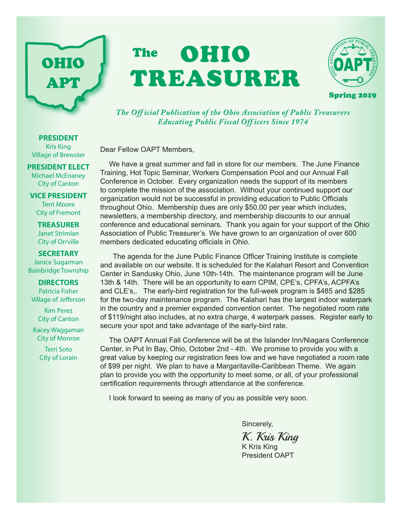# OHIO APT

## The **OHIO** TREASURER



*The Off icial Publication of the Ohio Association of Public Treasurers Educating Public Fiscal Off icers Since 1974*

Dear Fellow OAPT Members,

We have a great summer and fall in store for our members. The June Finance Training, Hot Topic Seminar, Workers Compensation Pool and our Annual Fall Conference in October. Every organization needs the support of its members to complete the mission of the association. Without your continued support our organization would not be successful in providing education to Public Officials throughout Ohio. Membership dues are only \$50.00 per year which includes, newsletters, a membership directory, and membership discounts to our annual conference and educational seminars. Thank you again for your support of the Ohio Association of Public Treasurer's. We have grown to an organization of over 600 members dedicated educating officials in Ohio.

 The agenda for the June Public Finance Officer Training Institute is complete and available on our website. It is scheduled for the Kalahari Resort and Convention Center in Sandusky Ohio, June 10th-14th. The maintenance program will be June 13th & 14th. There will be an opportunity to earn CPIM, CPE's, CPFA's, ACPFA's and CLE's,. The early-bird registration for the full-week program is \$485 and \$285 for the two-day maintenance program. The Kalahari has the largest indoor waterpark in the country and a premier expanded convention center. The negotiated room rate of \$119/night also includes, at no extra charge, 4 waterpark passes. Register early to secure your spot and take advantage of the early-bird rate.

The OAPT Annual Fall Conference will be at the Islander Inn/Niagara Conference Center, in Put In Bay, Ohio, October 2nd - 4th. We promise to provide you with a great value by keeping our registration fees low and we have negotiated a room rate of \$99 per night. We plan to have a Margaritaville-Caribbean Theme. We again plan to provide you with the opportunity to meet some, or all, of your professional certification requirements through attendance at the conference.

I look forward to seeing as many of you as possible very soon.

Sincerely,

K. Kris King K Kris King

President OAPT

**PRESIDENT** Kris King Village of Brewster

#### **PRESIDENT ELECT**

Michael McEnaney City of Canton

**VICE PRESIDENT** Terri Moore City of Fremont

**TREASURER** Janet Strimlan City of Orrville

#### **SECRETARY**

Janice Sugarman Bainbridge Township

#### **DIRECTORS**

Patricia Fisher Village of Jefferson

> Kim Perez City of Canton

Kacey Waggaman City of Monroe

> Terri Soto City of Lorain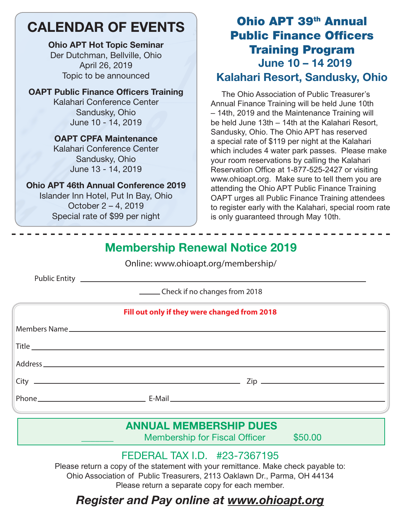## CALENDAR OF EVENTS

Ohio APT Hot Topic Seminar Der Dutchman, Bellville, Ohio April 26, 2019 Topic to be announced

#### OAPT Public Finance Officers Training

Kalahari Conference Center Sandusky, Ohio June 10 - 14, 2019

### OAPT CPFA Maintenance

Kalahari Conference Center Sandusky, Ohio June 13 - 14, 2019

#### Ohio APT 46th Annual Conference 2019

Islander Inn Hotel, Put In Bay, Ohio October 2 – 4, 2019 Special rate of \$99 per night

## Ohio APT 39th Annual Public Finance Officers Training Program June 10 – 14 2019 Kalahari Resort, Sandusky, Ohio

 The Ohio Association of Public Treasurer's Annual Finance Training will be held June 10th – 14th, 2019 and the Maintenance Training will be held June 13th – 14th at the Kalahari Resort, Sandusky, Ohio. The Ohio APT has reserved a special rate of \$119 per night at the Kalahari which includes 4 water park passes. Please make your room reservations by calling the Kalahari Reservation Office at 1-877-525-2427 or visiting www.ohioapt.org. Make sure to tell them you are attending the Ohio APT Public Finance Training OAPT urges all Public Finance Training attendees to register early with the Kalahari, special room rate is only guaranteed through May 10th.

## Membership Renewal Notice 2019

Online: www.ohioapt.org/membership/

Public Entity

Check if no changes from 2018

|  | Fill out only if they were changed from 2018 |  |
|--|----------------------------------------------|--|
|  |                                              |  |
|  |                                              |  |
|  |                                              |  |
|  | $City$ $\_\_$                                |  |
|  |                                              |  |

## ANNUAL MEMBERSHIP DUES

Membership for Fiscal Officer \$50.00

## FEDERAL TAX I.D. #23-7367195

Please return a copy of the statement with your remittance. Make check payable to: Ohio Association of Public Treasurers, 2113 Oaklawn Dr., Parma, OH 44134 Please return a separate copy for each member.

## *Register and Pay online at www.ohioapt.org*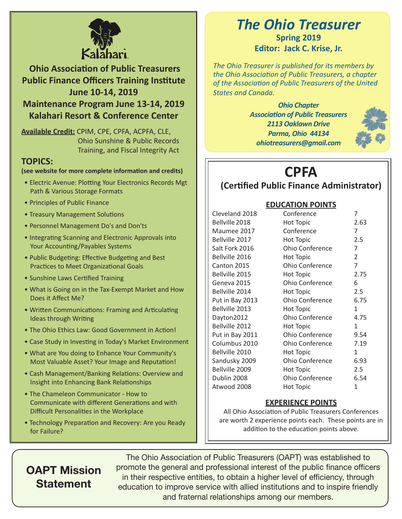

 **Ohio Association of Public Treasurers Public Finance Officers Training Institute June 10-14, 2019**

**Maintenance Program June 13-14, 2019 Kalahari Resort & Conference Center**

**Available Credit:** CPIM, CPE, CPFA, ACPFA, CLE, Ohio Sunshine & Public Records Training, and Fiscal Integrity Act

#### **TOPICS:**

#### **(see website for more complete information and credits)**

- Electric Avenue: Plotting Your Electronics Records Mgt Path & Various Storage Formats
- Principles of Public Finance
- Treasury Management Solutions
- Personnel Management Do's and Don'ts
- Integrating Scanning and Electronic Approvals into Your Accounting/Payables Systems
- Public Budgeting: Effective Budgeting and Best Practices to Meet Organizational Goals
- Sunshine Laws Certified Training
- What is Going on in the Tax-Exempt Market and How Does it Affect Me?
- Written Communications: Framing and Articulating Ideas through Writing
- The Ohio Ethics Law: Good Government in Action!
- Case Study in Investing in Today's Market Environment
- What are You doing to Enhance Your Community's Most Valuable Asset? Your Image and Reputation!
- Cash Management/Banking Relations: Overview and Insight into Enhancing Bank Relationships
- The Chameleon Communicator How to Communicate with different Generations and with Difficult Personalities in the Workplace
- Technology Preparation and Recovery: Are you Ready for Failure?

## *The Ohio Treasurer* **Spring 2019 Editor: Jack C. Krise, Jr.**

*The Ohio Treasurer is published for its members by the Ohio Association of Public Treasurers, a chapter of the Association of Public Treasurers of the United States and Canada.*

> *Ohio Chapter Association of Public Treasurers 2113 Oaklawn Drive Parma, Ohio 44134 ohiotreasurers@gmail.com*



## **CPFA**

## **(Certified Public Finance Administrator)**

#### **EDUCATION POINTS**

| Cleveland 2018  | Conference             |                |
|-----------------|------------------------|----------------|
| Bellville 2018  | <b>Hot Topic</b>       | 2.63           |
| Maumee 2017     | Conference             | 7              |
| Bellville 2017  | Hot Topic              | 2.5            |
| Salt Fork 2016  | Ohio Conference        | 7              |
| Bellville 2016  | <b>Hot Topic</b>       | $\overline{2}$ |
| Canton 2015     | Ohio Conference        | 7              |
| Bellville 2015  | <b>Hot Topic</b>       | 2.75           |
| Geneva 2015     | Ohio Conference        | 6              |
| Bellville 2014  | <b>Hot Topic</b>       | 2.5            |
| Put in Bay 2013 | Ohio Conference        | 6.75           |
| Bellville 2013  | <b>Hot Topic</b>       | 1              |
| Dayton2012      | <b>Ohio Conference</b> | 4.75           |
| Bellville 2012  | <b>Hot Topic</b>       | 1              |
| Put in Bay 2011 | <b>Ohio Conference</b> | 9.54           |
| Columbus 2010   | Ohio Conference        | 7.19           |
| Bellville 2010  | Hot Topic              | $\mathbf{1}$   |
| Sandusky 2009   | Ohio Conference        | 6.93           |
| Bellville 2009  | <b>Hot Topic</b>       | 2.5            |
| Dublin 2008     | Ohio Conference        | 6.54           |
| Atwood 2008     | Hot Topic              | $\mathbf{1}$   |

#### **EXPERIENCE POINTS**

All Ohio Association of Public Treasurers Conferences are worth 2 experience points each. These points are in addition to the education points above.

## OAPT Mission **Statement**

The Ohio Association of Public Treasurers (OAPT) was established to promote the general and professional interest of the public finance officers in their respective entities, to obtain a higher level of efficiency, through education to improve service with allied institutions and to inspire friendly and fraternal relationships among our members.